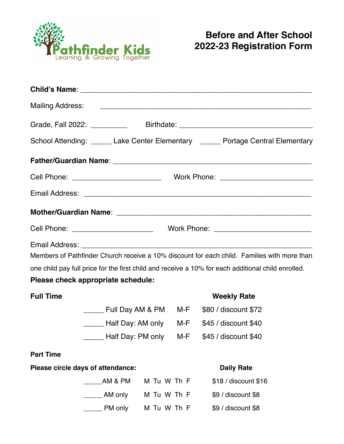

| <b>Mailing Address:</b> | <u> 1989 - Johann John Stein, market fransk kongensation og de forskellige og det forskellige og det forskellige</u>                                                                              |                                                                                  |  |  |                      |  |  |
|-------------------------|---------------------------------------------------------------------------------------------------------------------------------------------------------------------------------------------------|----------------------------------------------------------------------------------|--|--|----------------------|--|--|
|                         |                                                                                                                                                                                                   | Grade, Fall 2022: ________________Birthdate: ___________________________________ |  |  |                      |  |  |
|                         | School Attending: ______ Lake Center Elementary ______ Portage Central Elementary                                                                                                                 |                                                                                  |  |  |                      |  |  |
|                         |                                                                                                                                                                                                   |                                                                                  |  |  |                      |  |  |
|                         |                                                                                                                                                                                                   |                                                                                  |  |  |                      |  |  |
|                         |                                                                                                                                                                                                   |                                                                                  |  |  |                      |  |  |
|                         |                                                                                                                                                                                                   |                                                                                  |  |  |                      |  |  |
|                         |                                                                                                                                                                                                   |                                                                                  |  |  |                      |  |  |
|                         | Members of Pathfinder Church receive a 10% discount for each child. Families with more than<br>one child pay full price for the first child and receive a 10% for each additional child enrolled. |                                                                                  |  |  |                      |  |  |
|                         | Please check appropriate schedule:                                                                                                                                                                |                                                                                  |  |  |                      |  |  |
| <b>Full Time</b>        |                                                                                                                                                                                                   |                                                                                  |  |  | <b>Weekly Rate</b>   |  |  |
|                         | _____ Full Day AM & PM M-F \$80 / discount \$72                                                                                                                                                   |                                                                                  |  |  |                      |  |  |
|                         | Lettle M.F \$45 / discount \$40                                                                                                                                                                   |                                                                                  |  |  |                      |  |  |
|                         | ______ Half Day: PM only M-F \$45 / discount \$40                                                                                                                                                 |                                                                                  |  |  |                      |  |  |
| <b>Part Time</b>        |                                                                                                                                                                                                   |                                                                                  |  |  |                      |  |  |
|                         | Please circle days of attendance:                                                                                                                                                                 |                                                                                  |  |  | <b>Daily Rate</b>    |  |  |
|                         | AM & PM                                                                                                                                                                                           | M Tu W Th F                                                                      |  |  | \$18 / discount \$16 |  |  |
|                         | _ AM only                                                                                                                                                                                         | M Tu W Th F                                                                      |  |  | \$9 / discount \$8   |  |  |
|                         | PM only                                                                                                                                                                                           | M Tu W Th F                                                                      |  |  | \$9 / discount \$8   |  |  |